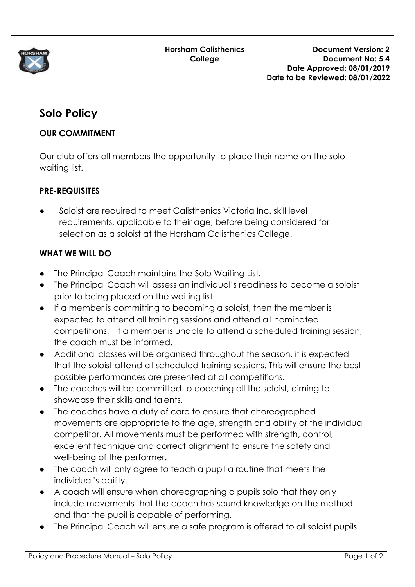

# **Solo Policy**

### **OUR COMMITMENT**

Our club offers all members the opportunity to place their name on the solo waiting list.

## **PRE-REQUISITES**

● Soloist are required to meet Calisthenics Victoria Inc. skill level requirements, applicable to their age, before being considered for selection as a soloist at the Horsham Calisthenics College.

## **WHAT WE WILL DO**

- The Principal Coach maintains the Solo Waiting List.
- The Principal Coach will assess an individual's readiness to become a soloist prior to being placed on the waiting list.
- If a member is committing to becoming a soloist, then the member is expected to attend all training sessions and attend all nominated competitions. If a member is unable to attend a scheduled training session, the coach must be informed.
- Additional classes will be organised throughout the season, it is expected that the soloist attend all scheduled training sessions. This will ensure the best possible performances are presented at all competitions.
- The coaches will be committed to coaching all the soloist, aiming to showcase their skills and talents.
- The coaches have a duty of care to ensure that choreographed movements are appropriate to the age, strength and ability of the individual competitor. All movements must be performed with strength, control, excellent technique and correct alignment to ensure the safety and well-being of the performer.
- The coach will only agree to teach a pupil a routine that meets the individual's ability.
- A coach will ensure when choreographing a pupils solo that they only include movements that the coach has sound knowledge on the method and that the pupil is capable of performing.
- The Principal Coach will ensure a safe program is offered to all soloist pupils.